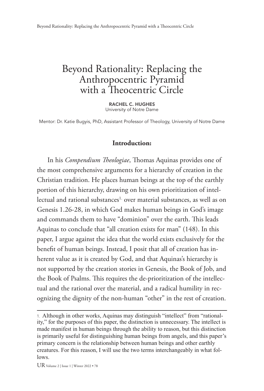# Beyond Rationality: Replacing the Anthropocentric Pyramid with a Theocentric Circle

RACHEL C. HUGHES University of Notre Dame

Mentor: Dr. Katie Bugyis, PhD, Assistant Professor of Theology, University of Notre Dame

#### **Introduction:**

In his *Compendium Theologiae*, Thomas Aquinas provides one of the most comprehensive arguments for a hierarchy of creation in the Christian tradition. He places human beings at the top of the earthly portion of this hierarchy, drawing on his own prioritization of intellectual and rational substances<sup>1.</sup> over material substances, as well as on Genesis 1.26-28, in which God makes human beings in God's image and commands them to have "dominion" over the earth. This leads Aquinas to conclude that "all creation exists for man" (148). In this paper, I argue against the idea that the world exists exclusively for the benefit of human beings. Instead, I posit that all of creation has inherent value as it is created by God, and that Aquinas's hierarchy is not supported by the creation stories in Genesis, the Book of Job, and the Book of Psalms. This requires the de-prioritization of the intellectual and the rational over the material, and a radical humility in recognizing the dignity of the non-human "other" in the rest of creation.

<sup>1.</sup> Although in other works, Aquinas may distinguish "intellect" from "rationality," for the purposes of this paper, the distinction is unnecessary. The intellect is made manifest in human beings through the ability to reason, but this distinction is primarily useful for distinguishing human beings from angels, and this paper's primary concern is the relationship between human beings and other earthly creatures. For this reason, I will use the two terms interchangeably in what follows.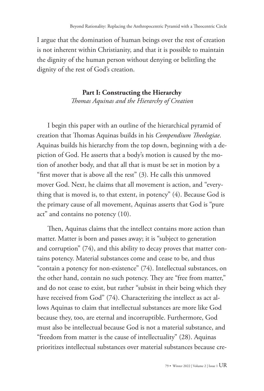I argue that the domination of human beings over the rest of creation is not inherent within Christianity, and that it is possible to maintain the dignity of the human person without denying or belittling the dignity of the rest of God's creation.

# **Part I: Constructing the Hierarchy** *Thomas Aquinas and the Hierarchy of Creation*

I begin this paper with an outline of the hierarchical pyramid of creation that Thomas Aquinas builds in his *Compendium Theologiae*. Aquinas builds his hierarchy from the top down, beginning with a depiction of God. He asserts that a body's motion is caused by the motion of another body, and that all that is must be set in motion by a "first mover that is above all the rest" (3). He calls this unmoved mover God. Next, he claims that all movement is action, and "everything that is moved is, to that extent, in potency" (4). Because God is the primary cause of all movement, Aquinas asserts that God is "pure act" and contains no potency (10).

Then, Aquinas claims that the intellect contains more action than matter. Matter is born and passes away; it is "subject to generation and corruption" (74), and this ability to decay proves that matter contains potency. Material substances come and cease to be, and thus "contain a potency for non-existence" (74). Intellectual substances, on the other hand, contain no such potency. They are "free from matter," and do not cease to exist, but rather "subsist in their being which they have received from God" (74). Characterizing the intellect as act allows Aquinas to claim that intellectual substances are more like God because they, too, are eternal and incorruptible. Furthermore, God must also be intellectual because God is not a material substance, and "freedom from matter is the cause of intellectuality" (28). Aquinas prioritizes intellectual substances over material substances because cre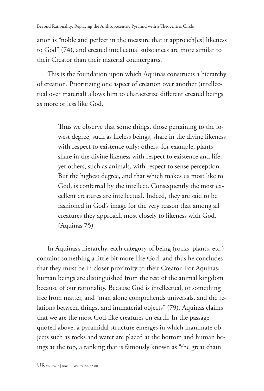ation is "noble and perfect in the measure that it approach[es] likeness to God" (74), and created intellectual substances are more similar to their Creator than their material counterparts.

This is the foundation upon which Aquinas constructs a hierarchy of creation. Prioritizing one aspect of creation over another (intellectual over material) allows him to characterize different created beings as more or less like God.

> Thus we observe that some things, those pertaining to the lowest degree, such as lifeless beings, share in the divine likeness with respect to existence only; others, for example, plants, share in the divine likeness with respect to existence and life; yet others, such as animals, with respect to sense perception. But the highest degree, and that which makes us most like to God, is conferred by the intellect. Consequently the most excellent creatures are intellectual. Indeed, they are said to be fashioned in God's image for the very reason that among all creatures they approach most closely to likeness with God. (Aquinas 75)

In Aquinas's hierarchy, each category of being (rocks, plants, etc.) contains something a little bit more like God, and thus he concludes that they must be in closer proximity to their Creator. For Aquinas, human beings are distinguished from the rest of the animal kingdom because of our rationality. Because God is intellectual, or something free from matter, and "man alone comprehends universals, and the relations between things, and immaterial objects" (79), Aquinas claims that we are the most God-like creatures on earth. In the passage quoted above, a pyramidal structure emerges in which inanimate objects such as rocks and water are placed at the bottom and human beings at the top, a ranking that is famously known as "the great chain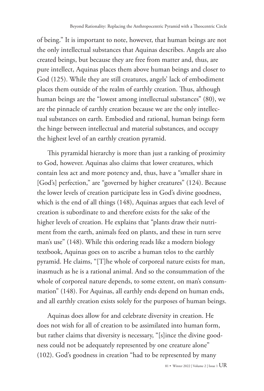of being." It is important to note, however, that human beings are not the only intellectual substances that Aquinas describes. Angels are also created beings, but because they are free from matter and, thus, are pure intellect, Aquinas places them above human beings and closer to God (125). While they are still creatures, angels' lack of embodiment places them outside of the realm of earthly creation. Thus, although human beings are the "lowest among intellectual substances" (80), we are the pinnacle of earthly creation because we are the only intellectual substances on earth. Embodied and rational, human beings form the hinge between intellectual and material substances, and occupy the highest level of an earthly creation pyramid.

This pyramidal hierarchy is more than just a ranking of proximity to God, however. Aquinas also claims that lower creatures, which contain less act and more potency and, thus, have a "smaller share in [God's] perfection," are "governed by higher creatures" (124). Because the lower levels of creation participate less in God's divine goodness, which is the end of all things (148), Aquinas argues that each level of creation is subordinate to and therefore exists for the sake of the higher levels of creation. He explains that "plants draw their nutriment from the earth, animals feed on plants, and these in turn serve man's use" (148). While this ordering reads like a modern biology textbook, Aquinas goes on to ascribe a human telos to the earthly pyramid. He claims, "[T]he whole of corporeal nature exists for man, inasmuch as he is a rational animal. And so the consummation of the whole of corporeal nature depends, to some extent, on man's consummation" (148). For Aquinas, all earthly ends depend on human ends, and all earthly creation exists solely for the purposes of human beings.

Aquinas does allow for and celebrate diversity in creation. He does not wish for all of creation to be assimilated into human form, but rather claims that diversity is necessary, "[s]ince the divine goodness could not be adequately represented by one creature alone" (102). God's goodness in creation "had to be represented by many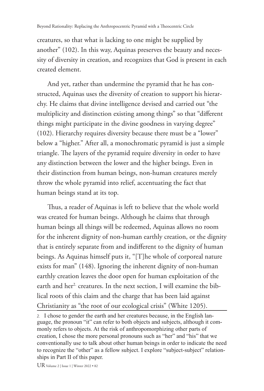creatures, so that what is lacking to one might be supplied by another" (102). In this way, Aquinas preserves the beauty and necessity of diversity in creation, and recognizes that God is present in each created element.

And yet, rather than undermine the pyramid that he has constructed, Aquinas uses the diversity of creation to support his hierarchy. He claims that divine intelligence devised and carried out "the multiplicity and distinction existing among things" so that "different things might participate in the divine goodness in varying degree" (102). Hierarchy requires diversity because there must be a "lower" below a "higher." After all, a monochromatic pyramid is just a simple triangle. The layers of the pyramid require diversity in order to have any distinction between the lower and the higher beings. Even in their distinction from human beings, non-human creatures merely throw the whole pyramid into relief, accentuating the fact that human beings stand at its top.

Thus, a reader of Aquinas is left to believe that the whole world was created for human beings. Although he claims that through human beings all things will be redeemed, Aquinas allows no room for the inherent dignity of non-human earthly creation, or the dignity that is entirely separate from and indifferent to the dignity of human beings. As Aquinas himself puts it, "[T]he whole of corporeal nature exists for man" (148). Ignoring the inherent dignity of non-human earthly creation leaves the door open for human exploitation of the earth and her<sup>2.</sup> creatures. In the next section, I will examine the biblical roots of this claim and the charge that has been laid against Christianity as "the root of our ecological crisis" (White 1205).

<sup>2.</sup> I chose to gender the earth and her creatures because, in the English language, the pronoun "it" can refer to both objects and subjects, although it commonly refers to objects. At the risk of anthropomorphizing other parts of creation, I chose the more personal pronouns such as "her" and "his" that we conventionally use to talk about other human beings in order to indicate the need to recognize the "other" as a fellow subject. I explore "subject-subject" relationships in Part II of this paper.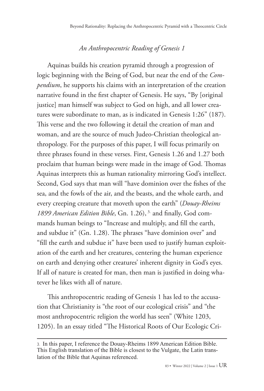# *An Anthropocentric Reading of Genesis 1*

Aquinas builds his creation pyramid through a progression of logic beginning with the Being of God, but near the end of the *Compendium*, he supports his claims with an interpretation of the creation narrative found in the first chapter of Genesis. He says, "By [original justice] man himself was subject to God on high, and all lower creatures were subordinate to man, as is indicated in Genesis 1:26" (187). This verse and the two following it detail the creation of man and woman, and are the source of much Judeo-Christian theological anthropology. For the purposes of this paper, I will focus primarily on three phrases found in these verses. First, Genesis 1.26 and 1.27 both proclaim that human beings were made in the image of God. Thomas Aquinas interprets this as human rationality mirroring God's intellect. Second, God says that man will "have dominion over the fishes of the sea, and the fowls of the air, and the beasts, and the whole earth, and every creeping creature that moveth upon the earth" (*Douay-Rheims 1899 American Edition Bible*, Gn. 1.26), 3. and finally, God commands human beings to "Increase and multiply, and fill the earth, and subdue it" (Gn. 1.28). The phrases "have dominion over" and "fill the earth and subdue it" have been used to justify human exploitation of the earth and her creatures, centering the human experience on earth and denying other creatures' inherent dignity in God's eyes. If all of nature is created for man, then man is justified in doing whatever he likes with all of nature.

This anthropocentric reading of Genesis 1 has led to the accusation that Christianity is "the root of our ecological crisis" and "the most anthropocentric religion the world has seen" (White 1203, 1205). In an essay titled "The Historical Roots of Our Ecologic Cri-

<sup>3.</sup> In this paper, I reference the Douay-Rheims 1899 American Edition Bible. This English translation of the Bible is closest to the Vulgate, the Latin translation of the Bible that Aquinas referenced.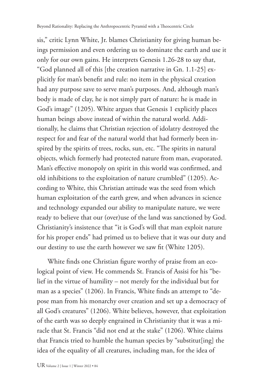sis," critic Lynn White, Jr. blames Christianity for giving human beings permission and even ordering us to dominate the earth and use it only for our own gains. He interprets Genesis 1.26-28 to say that, "God planned all of this [the creation narrative in Gn. 1.1-25] explicitly for man's benefit and rule: no item in the physical creation had any purpose save to serve man's purposes. And, although man's body is made of clay, he is not simply part of nature: he is made in God's image" (1205). White argues that Genesis 1 explicitly places human beings above instead of within the natural world. Additionally, he claims that Christian rejection of idolatry destroyed the respect for and fear of the natural world that had formerly been inspired by the spirits of trees, rocks, sun, etc. "The spirits in natural objects, which formerly had protected nature from man, evaporated. Man's effective monopoly on spirit in this world was confirmed, and old inhibitions to the exploitation of nature crumbled" (1205). According to White, this Christian attitude was the seed from which human exploitation of the earth grew, and when advances in science and technology expanded our ability to manipulate nature, we were ready to believe that our (over)use of the land was sanctioned by God. Christianity's insistence that "it is God's will that man exploit nature for his proper ends" had primed us to believe that it was our duty and our destiny to use the earth however we saw fit (White 1205).

White finds one Christian figure worthy of praise from an ecological point of view. He commends St. Francis of Assisi for his "belief in the virtue of humility – not merely for the individual but for man as a species" (1206). In Francis, White finds an attempt to "depose man from his monarchy over creation and set up a democracy of all God's creatures" (1206). White believes, however, that exploitation of the earth was so deeply engrained in Christianity that it was a miracle that St. Francis "did not end at the stake" (1206). White claims that Francis tried to humble the human species by "substitut[ing] the idea of the equality of all creatures, including man, for the idea of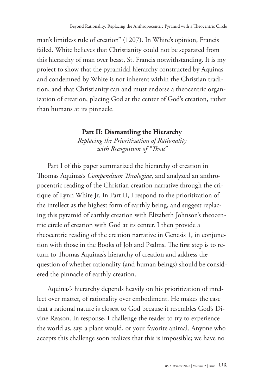man's limitless rule of creation" (1207). In White's opinion, Francis failed. White believes that Christianity could not be separated from this hierarchy of man over beast, St. Francis notwithstanding. It is my project to show that the pyramidal hierarchy constructed by Aquinas and condemned by White is not inherent within the Christian tradition, and that Christianity can and must endorse a theocentric organization of creation, placing God at the center of God's creation, rather than humans at its pinnacle.

## **Part II: Dismantling the Hierarchy**

*Replacing the Prioritization of Rationality with Recognition of "Thou"*

Part I of this paper summarized the hierarchy of creation in Thomas Aquinas's *Compendium Theologiae*, and analyzed an anthropocentric reading of the Christian creation narrative through the critique of Lynn White Jr. In Part II, I respond to the prioritization of the intellect as the highest form of earthly being, and suggest replacing this pyramid of earthly creation with Elizabeth Johnson's theocentric circle of creation with God at its center. I then provide a theocentric reading of the creation narrative in Genesis 1, in conjunction with those in the Books of Job and Psalms. The first step is to return to Thomas Aquinas's hierarchy of creation and address the question of whether rationality (and human beings) should be considered the pinnacle of earthly creation.

Aquinas's hierarchy depends heavily on his prioritization of intellect over matter, of rationality over embodiment. He makes the case that a rational nature is closest to God because it resembles God's Divine Reason. In response, I challenge the reader to try to experience the world as, say, a plant would, or your favorite animal. Anyone who accepts this challenge soon realizes that this is impossible; we have no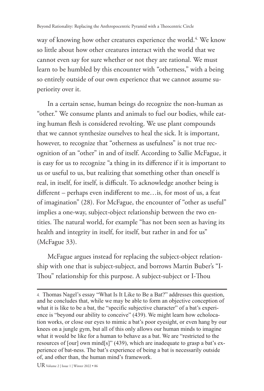way of knowing how other creatures experience the world.<sup>4.</sup> We know so little about how other creatures interact with the world that we cannot even say for sure whether or not they are rational. We must learn to be humbled by this encounter with "otherness," with a being so entirely outside of our own experience that we cannot assume superiority over it.

In a certain sense, human beings do recognize the non-human as "other." We consume plants and animals to fuel our bodies, while eating human flesh is considered revolting. We use plant compounds that we cannot synthesize ourselves to heal the sick. It is important, however, to recognize that "otherness as usefulness" is not true recognition of an "other" in and of itself. According to Sallie McFague, it is easy for us to recognize "a thing in its difference if it is important to us or useful to us, but realizing that something other than oneself is real, in itself, for itself, is difficult. To acknowledge another being is different – perhaps even indifferent to me…is, for most of us, a feat of imagination" (28). For McFague, the encounter of "other as useful" implies a one-way, subject-object relationship between the two entities. The natural world, for example "has not been seen as having its health and integrity in itself, for itself, but rather in and for us" (McFague 33).

McFague argues instead for replacing the subject-object relationship with one that is subject-subject, and borrows Martin Buber's "I-Thou" relationship for this purpose. A subject-subject or I-Thou

<sup>4.</sup> Thomas Nagel's essay "What Is It Like to Be a Bat?" addresses this question, and he concludes that, while we may be able to form an objective conception of what it is like to be a bat, the "specific subjective character" of a bat's experience is "beyond our ability to conceive" (439). We might learn how echolocation works, or close our eyes to mimic a bat's poor eyesight, or even hang by our knees on a jungle gym, but all of this only allows our human minds to imagine what it would be like for a human to behave as a bat. We are "restricted to the resources of [our] own mind[s]" (439), which are inadequate to grasp a bat's experience of bat-ness. The bat's experience of being a bat is necessarily outside of, and other than, the human mind's framework.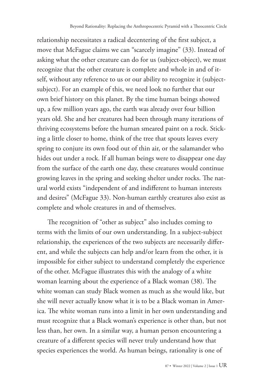relationship necessitates a radical decentering of the first subject, a move that McFague claims we can "scarcely imagine" (33). Instead of asking what the other creature can do for us (subject-object), we must recognize that the other creature is complete and whole in and of itself, without any reference to us or our ability to recognize it (subjectsubject). For an example of this, we need look no further that our own brief history on this planet. By the time human beings showed up, a few million years ago, the earth was already over four billion years old. She and her creatures had been through many iterations of thriving ecosystems before the human smeared paint on a rock. Sticking a little closer to home, think of the tree that spouts leaves every spring to conjure its own food out of thin air, or the salamander who hides out under a rock. If all human beings were to disappear one day from the surface of the earth one day, these creatures would continue growing leaves in the spring and seeking shelter under rocks. The natural world exists "independent of and indifferent to human interests and desires" (McFague 33). Non-human earthly creatures also exist as complete and whole creatures in and of themselves.

The recognition of "other as subject" also includes coming to terms with the limits of our own understanding. In a subject-subject relationship, the experiences of the two subjects are necessarily different, and while the subjects can help and/or learn from the other, it is impossible for either subject to understand completely the experience of the other. McFague illustrates this with the analogy of a white woman learning about the experience of a Black woman (38). The white woman can study Black women as much as she would like, but she will never actually know what it is to be a Black woman in America. The white woman runs into a limit in her own understanding and must recognize that a Black woman's experience is other than, but not less than, her own. In a similar way, a human person encountering a creature of a different species will never truly understand how that species experiences the world. As human beings, rationality is one of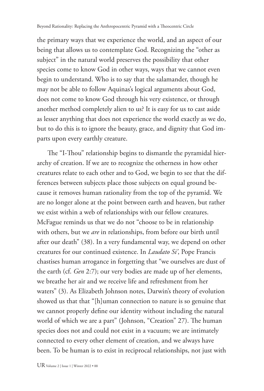the primary ways that we experience the world, and an aspect of our being that allows us to contemplate God. Recognizing the "other as subject" in the natural world preserves the possibility that other species come to know God in other ways, ways that we cannot even begin to understand. Who is to say that the salamander, though he may not be able to follow Aquinas's logical arguments about God, does not come to know God through his very existence, or through another method completely alien to us? It is easy for us to cast aside as lesser anything that does not experience the world exactly as we do, but to do this is to ignore the beauty, grace, and dignity that God imparts upon every earthly creature.

The "I-Thou" relationship begins to dismantle the pyramidal hierarchy of creation. If we are to recognize the otherness in how other creatures relate to each other and to God, we begin to see that the differences between subjects place those subjects on equal ground because it removes human rationality from the top of the pyramid. We are no longer alone at the point between earth and heaven, but rather we exist within a web of relationships with our fellow creatures. McFague reminds us that we do not "choose to be in relationship with others, but we *are* in relationships, from before our birth until after our death" (38). In a very fundamental way, we depend on other creatures for our continued existence. In *Laudato Si'*, Pope Francis chastises human arrogance in forgetting that "we ourselves are dust of the earth (cf. *Gen* 2:7); our very bodies are made up of her elements, we breathe her air and we receive life and refreshment from her waters" (3). As Elizabeth Johnson notes, Darwin's theory of evolution showed us that that "[h]uman connection to nature is so genuine that we cannot properly define our identity without including the natural world of which we are a part" (Johnson, "Creation" 27). The human species does not and could not exist in a vacuum; we are intimately connected to every other element of creation, and we always have been. To be human is to exist in reciprocal relationships, not just with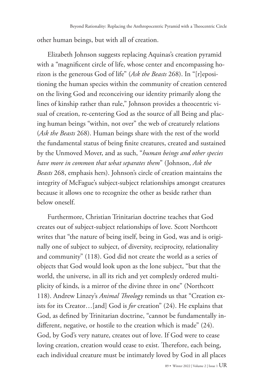other human beings, but with all of creation.

Elizabeth Johnson suggests replacing Aquinas's creation pyramid with a "magnificent circle of life, whose center and encompassing horizon is the generous God of life" (*Ask the Beasts* 268). In "[r]epositioning the human species within the community of creation centered on the living God and reconceiving our identity primarily along the lines of kinship rather than rule," Johnson provides a theocentric visual of creation, re-centering God as the source of all Being and placing human beings "within, not over" the web of creaturely relations (*Ask the Beasts* 268). Human beings share with the rest of the world the fundamental status of being finite creatures, created and sustained by the Unmoved Mover, and as such, "*human beings and other species have more in common that what separates them*" (Johnson, *Ask the Beasts* 268, emphasis hers). Johnson's circle of creation maintains the integrity of McFague's subject-subject relationships amongst creatures because it allows one to recognize the other as beside rather than below oneself.

Furthermore, Christian Trinitarian doctrine teaches that God creates out of subject-subject relationships of love. Scott Northcott writes that "the nature of being itself, being in God, was and is originally one of subject to subject, of diversity, reciprocity, relationality and community" (118). God did not create the world as a series of objects that God would look upon as the lone subject, "but that the world, the universe, in all its rich and yet complexly ordered multiplicity of kinds, is a mirror of the divine three in one" (Northcott 118). Andrew Linzey's *Animal Theology* reminds us that "Creation exists for its Creator…[and] God is *for* creation" (24). He explains that God, as defined by Trinitarian doctrine, "cannot be fundamentally indifferent, negative, or hostile to the creation which is made" (24). God, by God's very nature, creates out of love. If God were to cease loving creation, creation would cease to exist. Therefore, each being, each individual creature must be intimately loved by God in all places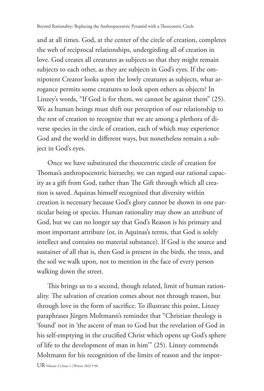and at all times. God, at the center of the circle of creation, completes the web of reciprocal relationships, undergirding all of creation in love. God creates all creatures as subjects so that they might remain subjects to each other, as they are subjects in God's eyes. If the omnipotent Creator looks upon the lowly creatures as subjects, what arrogance permits some creatures to look upon others as objects? In Linzey's words, "If God is for them, we cannot be against them" (25). We as human beings must shift our perception of our relationship to the rest of creation to recognize that we are among a plethora of diverse species in the circle of creation, each of which may experience God and the world in different ways, but nonetheless remain a subject in God's eyes.

Once we have substituted the theocentric circle of creation for Thomas's anthropocentric hierarchy, we can regard our rational capacity as a gift from God, rather than The Gift through which all creation is saved. Aquinas himself recognized that diversity within creation is necessary because God's glory cannot be shown in one particular being or species. Human rationality may show an attribute of God, but we can no longer say that God's Reason is his primary and most important attribute (or, in Aquinas's terms, that God is solely intellect and contains no material substance). If God is the source and sustainer of all that is, then God is present in the birds, the trees, and the soil we walk upon, not to mention in the face of every person walking down the street.

This brings us to a second, though related, limit of human rationality. The salvation of creation comes about not through reason, but through love in the form of sacrifice. To illustrate this point, Linzey paraphrases Jürgen Moltmann's reminder that "Christian theology is 'found' not in 'the ascent of man to God but the revelation of God in his self-emptying in the crucified Christ which opens up God's sphere of life to the development of man in him'" (25). Linzey commends Moltmann for his recognition of the limits of reason and the impor-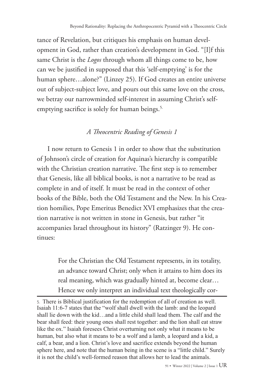tance of Revelation, but critiques his emphasis on human development in God, rather than creation's development in God. "[I]f this same Christ is the *Logos* through whom all things come to be, how can we be justified in supposed that this 'self-emptying' is for the human sphere...alone?" (Linzey 25). If God creates an entire universe out of subject-subject love, and pours out this same love on the cross, we betray our narrowminded self-interest in assuming Christ's selfemptying sacrifice is solely for human beings.<sup>5.</sup>

## *A Theocentric Reading of Genesis 1*

I now return to Genesis 1 in order to show that the substitution of Johnson's circle of creation for Aquinas's hierarchy is compatible with the Christian creation narrative. The first step is to remember that Genesis, like all biblical books, is not a narrative to be read as complete in and of itself. It must be read in the context of other books of the Bible, both the Old Testament and the New. In his Creation homilies, Pope Emeritus Benedict XVI emphasizes that the creation narrative is not written in stone in Genesis, but rather "it accompanies Israel throughout its history" (Ratzinger 9). He continues:

> For the Christian the Old Testament represents, in its totality, an advance toward Christ; only when it attains to him does its real meaning, which was gradually hinted at, become clear… Hence we only interpret an individual text theologically cor-

<sup>5.</sup> There is Biblical justification for the redemption of all of creation as well. Isaiah 11:6-7 states that the "wolf shall dwell with the lamb: and the leopard shall lie down with the kid…and a little child shall lead them. The calf and the bear shall feed: their young ones shall rest together: and the lion shall eat straw like the ox." Isaiah foresees Christ overturning not only what it means to be human, but also what it means to be a wolf and a lamb, a leopard and a kid, a calf, a bear, and a lion. Christ's love and sacrifice extends beyond the human sphere here, and note that the human being in the scene is a "little child." Surely it is not the child's well-formed reason that allows her to lead the animals.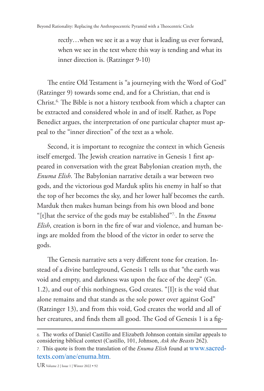rectly…when we see it as a way that is leading us ever forward, when we see in the text where this way is tending and what its inner direction is. (Ratzinger 9-10)

The entire Old Testament is "a journeying with the Word of God" (Ratzinger 9) towards some end, and for a Christian, that end is Christ.<sup>6.</sup> The Bible is not a history textbook from which a chapter can be extracted and considered whole in and of itself. Rather, as Pope Benedict argues, the interpretation of one particular chapter must appeal to the "inner direction" of the text as a whole.

Second, it is important to recognize the context in which Genesis itself emerged. The Jewish creation narrative in Genesis 1 first appeared in conversation with the great Babylonian creation myth, the *Enuma Elish*. The Babylonian narrative details a war between two gods, and the victorious god Marduk splits his enemy in half so that the top of her becomes the sky, and her lower half becomes the earth. Marduk then makes human beings from his own blood and bone "[t]hat the service of the gods may be established"7.. In the *Enuma Elish*, creation is born in the fire of war and violence, and human beings are molded from the blood of the victor in order to serve the gods.

The Genesis narrative sets a very different tone for creation. Instead of a divine battleground, Genesis 1 tells us that "the earth was void and empty, and darkness was upon the face of the deep" (Gn. 1.2), and out of this nothingness, God creates. "[I]t is the void that alone remains and that stands as the sole power over against God" (Ratzinger 13), and from this void, God creates the world and all of her creatures, and finds them all good. The God of Genesis 1 is a fig-

<sup>6.</sup> The works of Daniel Castillo and Elizabeth Johnson contain similar appeals to considering biblical context (Castillo, 101, Johnson, *Ask the Beasts* 262).

<sup>7.</sup> This quote is from the translation of the *Enuma Elish* found at [www.sacred](http://www.sacred-texts.com/ane/enuma.htm)[texts.com/ane/enuma.htm.](http://www.sacred-texts.com/ane/enuma.htm)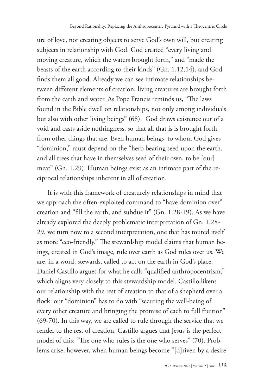ure of love, not creating objects to serve God's own will, but creating subjects in relationship with God. God created "every living and moving creature, which the waters brought forth," and "made the beasts of the earth according to their kinds" (Gn. 1.12,14), and God finds them all good. Already we can see intimate relationships between different elements of creation; living creatures are brought forth from the earth and water. As Pope Francis reminds us, "The laws found in the Bible dwell on relationships, not only among individuals but also with other living beings" (68). God draws existence out of a void and casts aside nothingness, so that all that is is brought forth from other things that are. Even human beings, to whom God gives "dominion," must depend on the "herb bearing seed upon the earth, and all trees that have in themselves seed of their own, to be [our] meat" (Gn. 1.29). Human beings exist as an intimate part of the reciprocal relationships inherent in all of creation.

It is with this framework of creaturely relationships in mind that we approach the often-exploited command to "have dominion over" creation and "fill the earth, and subdue it" (Gn. 1.28-19). As we have already explored the deeply problematic interpretation of Gn. 1.28- 29, we turn now to a second interpretation, one that has touted itself as more "eco-friendly." The stewardship model claims that human beings, created in God's image, rule over earth as God rules over us. We are, in a word, stewards, called to act on the earth in God's place. Daniel Castillo argues for what he calls "qualified anthropocentrism," which aligns very closely to this stewardship model. Castillo likens our relationship with the rest of creation to that of a shepherd over a flock: our "dominion" has to do with "securing the well-being of every other creature and bringing the promise of each to full fruition" (69-70). In this way, we are called to rule through the service that we render to the rest of creation. Castillo argues that Jesus is the perfect model of this: "The one who rules is the one who serves" (70). Problems arise, however, when human beings become "[d]riven by a desire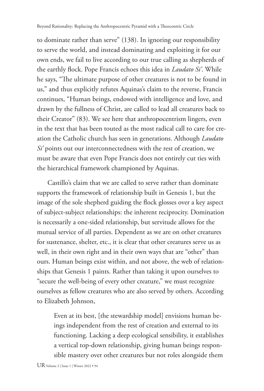to dominate rather than serve" (138). In ignoring our responsibility to serve the world, and instead dominating and exploiting it for our own ends, we fail to live according to our true calling as shepherds of the earthly flock. Pope Francis echoes this idea in *Laudato Si'*. While he says, "The ultimate purpose of other creatures is not to be found in us," and thus explicitly refutes Aquinas's claim to the reverse, Francis continues, "Human beings, endowed with intelligence and love, and drawn by the fullness of Christ, are called to lead all creatures back to their Creator" (83). We see here that anthropocentrism lingers, even in the text that has been touted as the most radical call to care for creation the Catholic church has seen in generations. Although *Laudato Si'* points out our interconnectedness with the rest of creation, we must be aware that even Pope Francis does not entirely cut ties with the hierarchical framework championed by Aquinas.

Castillo's claim that we are called to serve rather than dominate supports the framework of relationship built in Genesis 1, but the image of the sole shepherd guiding the flock glosses over a key aspect of subject-subject relationships: the inherent reciprocity. Domination is necessarily a one-sided relationship, but servitude allows for the mutual service of all parties. Dependent as we are on other creatures for sustenance, shelter, etc., it is clear that other creatures serve us as well, in their own right and in their own ways that are "other" than ours. Human beings exist within, and not above, the web of relationships that Genesis 1 paints. Rather than taking it upon ourselves to "secure the well-being of every other creature," we must recognize ourselves as fellow creatures who are also served by others. According to Elizabeth Johnson,

Even at its best, [the stewardship model] envisions human beings independent from the rest of creation and external to its functioning. Lacking a deep ecological sensibility, it establishes a vertical top-down relationship, giving human beings responsible mastery over other creatures but not roles alongside them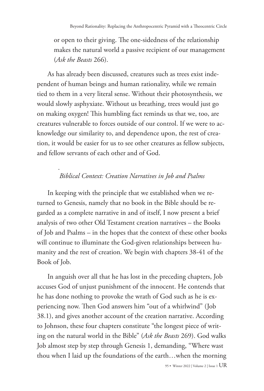or open to their giving. The one-sidedness of the relationship makes the natural world a passive recipient of our management (*Ask the Beasts* 266).

As has already been discussed, creatures such as trees exist independent of human beings and human rationality, while we remain tied to them in a very literal sense. Without their photosynthesis, we would slowly asphyxiate. Without us breathing, trees would just go on making oxygen! This humbling fact reminds us that we, too, are creatures vulnerable to forces outside of our control. If we were to acknowledge our similarity to, and dependence upon, the rest of creation, it would be easier for us to see other creatures as fellow subjects, and fellow servants of each other and of God.

## *Biblical Context: Creation Narratives in Job and Psalms*

.

In keeping with the principle that we established when we returned to Genesis, namely that no book in the Bible should be regarded as a complete narrative in and of itself, I now present a brief analysis of two other Old Testament creation narratives – the Books of Job and Psalms – in the hopes that the context of these other books will continue to illuminate the God-given relationships between humanity and the rest of creation. We begin with chapters 38-41 of the Book of Job.

In anguish over all that he has lost in the preceding chapters, Job accuses God of unjust punishment of the innocent. He contends that he has done nothing to provoke the wrath of God such as he is experiencing now. Then God answers him "out of a whirlwind" (Job 38.1), and gives another account of the creation narrative. According to Johnson, these four chapters constitute "the longest piece of writing on the natural world in the Bible" (*Ask the Beasts* 269). God walks Job almost step by step through Genesis 1, demanding, "Where wast thou when I laid up the foundations of the earth…when the morning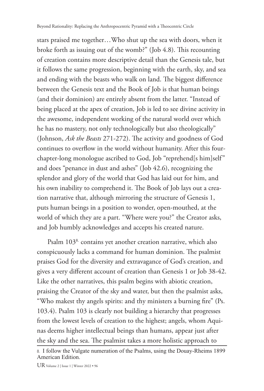stars praised me together…Who shut up the sea with doors, when it broke forth as issuing out of the womb?" (Job 4.8). This recounting of creation contains more descriptive detail than the Genesis tale, but it follows the same progression, beginning with the earth, sky, and sea and ending with the beasts who walk on land. The biggest difference between the Genesis text and the Book of Job is that human beings (and their dominion) are entirely absent from the latter. "Instead of being placed at the apex of creation, Job is led to see divine activity in the awesome, independent working of the natural world over which he has no mastery, not only technologically but also theologically" (Johnson, *Ask the Beasts* 271-272). The activity and goodness of God continues to overflow in the world without humanity. After this fourchapter-long monologue ascribed to God, Job "reprehend[s him]self" and does "penance in dust and ashes" (Job 42.6), recognizing the splendor and glory of the world that God has laid out for him, and his own inability to comprehend it. The Book of Job lays out a creation narrative that, although mirroring the structure of Genesis 1, puts human beings in a position to wonder, open-mouthed, at the world of which they are a part. "Where were you?" the Creator asks, and Job humbly acknowledges and accepts his created nature.

Psalm 103<sup>8</sup> contains yet another creation narrative, which also conspicuously lacks a command for human dominion. The psalmist praises God for the diversity and extravagance of God's creation, and gives a very different account of creation than Genesis 1 or Job 38-42. Like the other narratives, this psalm begins with abiotic creation, praising the Creator of the sky and water, but then the psalmist asks, "Who makest thy angels spirits: and thy ministers a burning fire" (Ps. 103.4). Psalm 103 is clearly not building a hierarchy that progresses from the lowest levels of creation to the highest; angels, whom Aquinas deems higher intellectual beings than humans, appear just after the sky and the sea. The psalmist takes a more holistic approach to

<sup>8.</sup> I follow the Vulgate numeration of the Psalms, using the Douay-Rheims 1899 American Edition.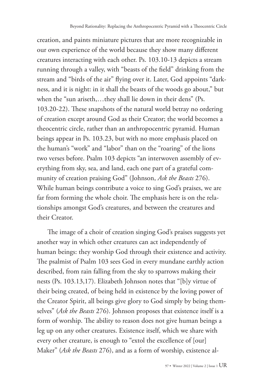creation, and paints miniature pictures that are more recognizable in our own experience of the world because they show many different creatures interacting with each other. Ps. 103.10-13 depicts a stream running through a valley, with "beasts of the field" drinking from the stream and "birds of the air" flying over it. Later, God appoints "darkness, and it is night: in it shall the beasts of the woods go about," but when the "sun ariseth,…they shall lie down in their dens" (Ps. 103.20-22). These snapshots of the natural world betray no ordering of creation except around God as their Creator; the world becomes a theocentric circle, rather than an anthropocentric pyramid. Human beings appear in Ps. 103.23, but with no more emphasis placed on the human's "work" and "labor" than on the "roaring" of the lions two verses before. Psalm 103 depicts "an interwoven assembly of everything from sky, sea, and land, each one part of a grateful community of creation praising God" (Johnson, *Ask the Beasts* 276). While human beings contribute a voice to sing God's praises, we are far from forming the whole choir. The emphasis here is on the relationships amongst God's creatures, and between the creatures and their Creator.

The image of a choir of creation singing God's praises suggests yet another way in which other creatures can act independently of human beings: they worship God through their existence and activity. The psalmist of Psalm 103 sees God in every mundane earthly action described, from rain falling from the sky to sparrows making their nests (Ps. 103.13,17). Elizabeth Johnson notes that "[b]y virtue of their being created, of being held in existence by the loving power of the Creator Spirit, all beings give glory to God simply by being themselves" (*Ask the Beasts* 276). Johnson proposes that existence itself is a form of worship. The ability to reason does not give human beings a leg up on any other creatures. Existence itself, which we share with every other creature, is enough to "extol the excellence of [our] Maker" (*Ask the Beasts* 276), and as a form of worship, existence al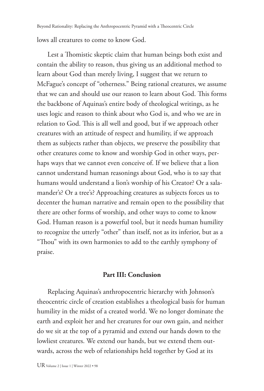lows all creatures to come to know God.

Lest a Thomistic skeptic claim that human beings both exist and contain the ability to reason, thus giving us an additional method to learn about God than merely living, I suggest that we return to McFague's concept of "otherness." Being rational creatures, we assume that we can and should use our reason to learn about God. This forms the backbone of Aquinas's entire body of theological writings, as he uses logic and reason to think about who God is, and who we are in relation to God. This is all well and good, but if we approach other creatures with an attitude of respect and humility, if we approach them as subjects rather than objects, we preserve the possibility that other creatures come to know and worship God in other ways, perhaps ways that we cannot even conceive of. If we believe that a lion cannot understand human reasonings about God, who is to say that humans would understand a lion's worship of his Creator? Or a salamander's? Or a tree's? Approaching creatures as subjects forces us to decenter the human narrative and remain open to the possibility that there are other forms of worship, and other ways to come to know God. Human reason is a powerful tool, but it needs human humility to recognize the utterly "other" than itself, not as its inferior, but as a "Thou" with its own harmonies to add to the earthly symphony of praise.

#### **Part III: Conclusion**

Replacing Aquinas's anthropocentric hierarchy with Johnson's theocentric circle of creation establishes a theological basis for human humility in the midst of a created world. We no longer dominate the earth and exploit her and her creatures for our own gain, and neither do we sit at the top of a pyramid and extend our hands down to the lowliest creatures. We extend our hands, but we extend them outwards, across the web of relationships held together by God at its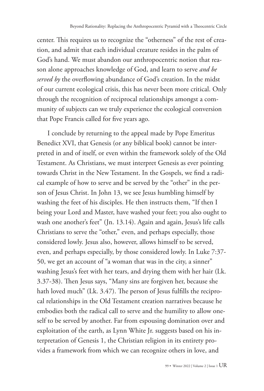center. This requires us to recognize the "otherness" of the rest of creation, and admit that each individual creature resides in the palm of God's hand. We must abandon our anthropocentric notion that reason alone approaches knowledge of God, and learn to serve *and be served by* the overflowing abundance of God's creation. In the midst of our current ecological crisis, this has never been more critical. Only through the recognition of reciprocal relationships amongst a community of subjects can we truly experience the ecological conversion that Pope Francis called for five years ago.

I conclude by returning to the appeal made by Pope Emeritus Benedict XVI, that Genesis (or any biblical book) cannot be interpreted in and of itself, or even within the framework solely of the Old Testament. As Christians, we must interpret Genesis as ever pointing towards Christ in the New Testament. In the Gospels, we find a radical example of how to serve and be served by the "other" in the person of Jesus Christ. In John 13, we see Jesus humbling himself by washing the feet of his disciples. He then instructs them, "If then I being your Lord and Master, have washed your feet; you also ought to wash one another's feet" (Jn. 13.14). Again and again, Jesus's life calls Christians to serve the "other," even, and perhaps especially, those considered lowly. Jesus also, however, allows himself to be served, even, and perhaps especially, by those considered lowly. In Luke 7:37- 50, we get an account of "a woman that was in the city, a sinner" washing Jesus's feet with her tears, and drying them with her hair (Lk. 3.37-38). Then Jesus says, "Many sins are forgiven her, because she hath loved much" (Lk. 3.47). The person of Jesus fulfills the reciprocal relationships in the Old Testament creation narratives because he embodies both the radical call to serve and the humility to allow oneself to be served by another. Far from espousing domination over and exploitation of the earth, as Lynn White Jr. suggests based on his interpretation of Genesis 1, the Christian religion in its entirety provides a framework from which we can recognize others in love, and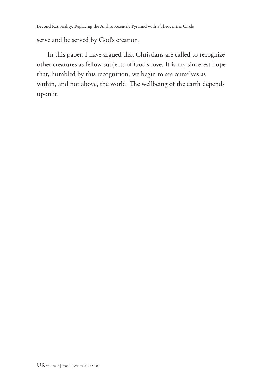serve and be served by God's creation.

In this paper, I have argued that Christians are called to recognize other creatures as fellow subjects of God's love. It is my sincerest hope that, humbled by this recognition, we begin to see ourselves as within, and not above, the world. The wellbeing of the earth depends upon it.